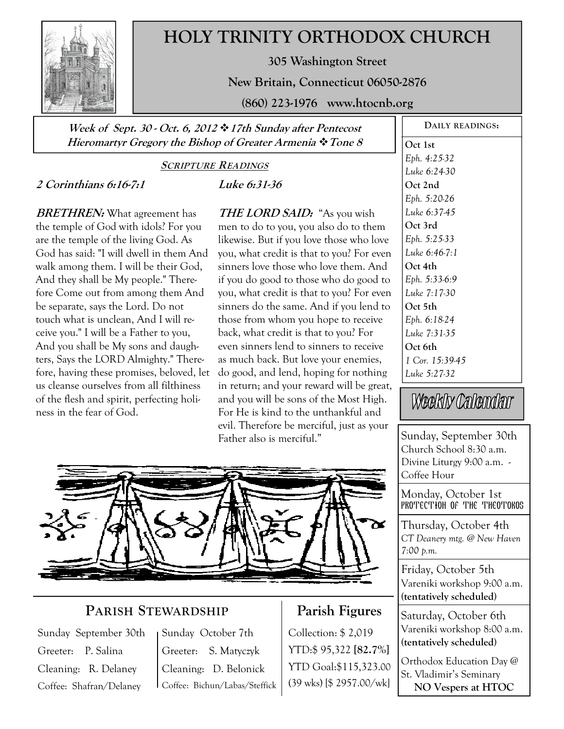

# **HOLY TRINITY ORTHODOX CHURCH**

**305 Washington Street** 

**New Britain, Connecticut 06050-2876** 

**(860) 223-1976 www.htocnb.org** 

**Week of Sept. 30 - Oct. 6, 2012 17th Sunday after Pentecost Hieromartyr Gregory the Bishop of Greater Armenia Tone 8** 

#### **SCRIPTURE READINGS**

## **2 Corinthians 6:16-7:1**

**BRETHREN:** What agreement has the temple of God with idols? For you are the temple of the living God. As God has said: "I will dwell in them And walk among them. I will be their God, And they shall be My people." Therefore Come out from among them And be separate, says the Lord. Do not touch what is unclean, And I will receive you." I will be a Father to you, And you shall be My sons and daughters, Says the LORD Almighty." Therefore, having these promises, beloved, let us cleanse ourselves from all filthiness of the flesh and spirit, perfecting holiness in the fear of God.

**Luke 6:31-36** 

**THE LORD SAID:** "As you wish men to do to you, you also do to them likewise. But if you love those who love you, what credit is that to you? For even sinners love those who love them. And if you do good to those who do good to you, what credit is that to you? For even sinners do the same. And if you lend to those from whom you hope to receive back, what credit is that to you? For even sinners lend to sinners to receive as much back. But love your enemies, do good, and lend, hoping for nothing in return; and your reward will be great, and you will be sons of the Most High. For He is kind to the unthankful and evil. Therefore be merciful, just as your Father also is merciful."



## **PARISH STEWARDSHIP**

Sunday September 30th Greeter: P. Salina Cleaning: R. Delaney Coffee: Shafran/Delaney

Sunday October 7th Greeter: S. Matyczyk Cleaning: D. Belonick Coffee: Bichun/Labas/Steffick

## **Parish Figures**

Collection: \$ 2,019 YTD:\$ 95,322 **[82.7%]** YTD Goal:\$115,323.00 (39 wks) [\$ 2957.00/wk]

**DAILY READINGS: Oct 1st**  *Eph. 4:25-32 Luke 6:24-30*  **Oct 2nd**  *Eph. 5:20-26 Luke 6:37-45*  **Oct 3rd**  *Eph. 5:25-33 Luke 6:46-7:1*  **Oct 4th**  *Eph. 5:33-6:9 Luke 7:17-30*  **Oct 5th**  *Eph. 6:18-24 Luke 7:31-35*  **Oct 6th**  *1 Cor. 15:39-45 Luke 5:27-32* 

Weekly Calendar

Sunday, September 30th Church School 8:30 a.m. Divine Liturgy 9:00 a.m. - Coffee Hour

Monday, October 1st PROTECTION OF THE THEOTOKOS

Thursday, October 4th *CT Deanery mtg. @ New Haven 7:00 p.m.* 

Friday, October 5th Vareniki workshop 9:00 a.m. **(tentatively scheduled)** 

Saturday, October 6th Vareniki workshop 8:00 a.m. **(tentatively scheduled)** 

Orthodox Education Day @ St. Vladimir's Seminary **NO Vespers at HTOC**